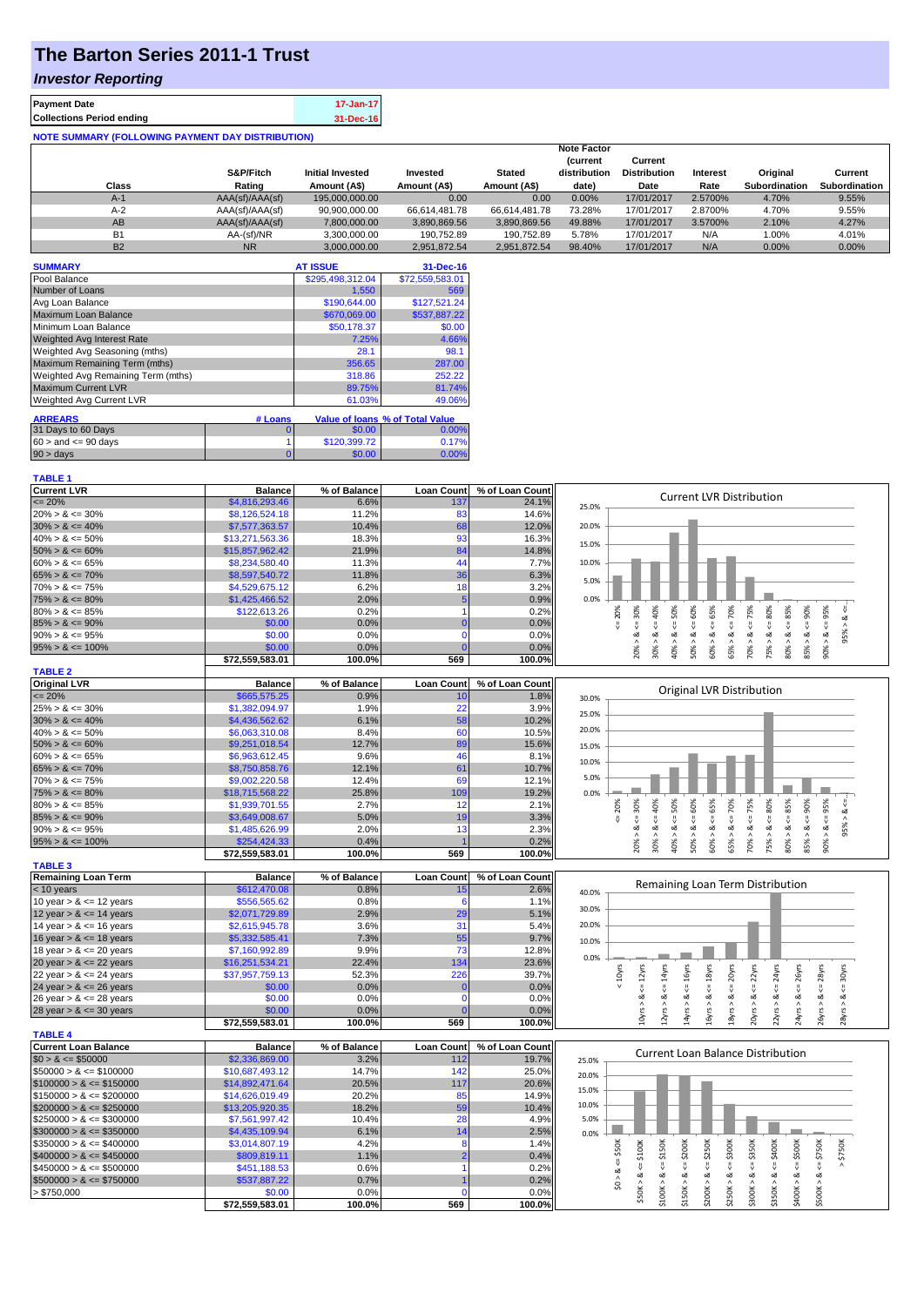## **The Barton Series 2011-1 Trust**

## *Investor Reporting*

| <b>Payment Date</b>                                      | 17-Jan-17 |
|----------------------------------------------------------|-----------|
| <b>Collections Period ending</b>                         | 31-Dec-16 |
| <b>NOTE SUMMARY (FOLLOWING PAYMENT DAY DISTRIBUTION)</b> |           |

| Class     | S&P/Fitch<br>Rating | <b>Initial Invested</b><br>Amount (A\$) | Invested<br>Amount (A\$) | <b>Stated</b><br>Amount (A\$) | <b>Note Factor</b><br><i>(current</i><br>distribution<br>date) | Current<br><b>Distribution</b><br>Date | Interest<br>Rate | Original<br><b>Subordination</b> | Current<br><b>Subordination</b> |
|-----------|---------------------|-----------------------------------------|--------------------------|-------------------------------|----------------------------------------------------------------|----------------------------------------|------------------|----------------------------------|---------------------------------|
| $A-1$     | AAA(sf)/AAA(sf)     | 195,000,000,00                          | 0.00                     | 0.00                          | $0.00\%$                                                       | 17/01/2017                             | 2.5700%          | 4.70%                            | 9.55%                           |
| $A-2$     | AAA(sf)/AAA(sf)     | 90.900.000.00                           | 66.614.481.78            | 66.614.481.78                 | 73.28%                                                         | 17/01/2017                             | 2.8700%          | 4.70%                            | 9.55%                           |
| AB        | AAA(sf)/AAA(sf)     | 7,800,000.00                            | 3,890,869.56             | 3,890,869.56                  | 49.88%                                                         | 17/01/2017                             | 3.5700%          | 2.10%                            | 4.27%                           |
| <b>B1</b> | AA-(sf)/NR          | 3.300.000.00                            | 190.752.89               | 190.752.89                    | 5.78%                                                          | 17/01/2017                             | N/A              | 1.00%                            | 4.01%                           |
| <b>B2</b> | <b>NR</b>           | 3.000.000.00                            | 2.951.872.54             | 2.951.872.54                  | 98.40%                                                         | 17/01/2017                             | N/A              | 0.00%                            | $0.00\%$                        |

| <b>SUMMARY</b>                     |         | <b>AT ISSUE</b>  | 31-Dec-16                              |
|------------------------------------|---------|------------------|----------------------------------------|
| Pool Balance                       |         | \$295,498,312.04 | \$72,559,583.01                        |
| Number of Loans                    |         | 1,550            | 569                                    |
| Avg Loan Balance                   |         | \$190,644.00     | \$127.521.24                           |
| Maximum Loan Balance               |         | \$670,069,00     | \$537,887,22                           |
| Minimum Loan Balance               |         | \$50,178.37      | \$0.00                                 |
| <b>Weighted Avg Interest Rate</b>  |         | 7.25%            | 4.66%                                  |
| Weighted Avg Seasoning (mths)      |         | 28.1             | 98.1                                   |
| Maximum Remaining Term (mths)      |         | 356.65           | 287.00                                 |
| Weighted Avg Remaining Term (mths) |         | 318.86           | 252.22                                 |
| <b>Maximum Current LVR</b>         |         | 89.75%           | 81.74%                                 |
| <b>Weighted Avg Current LVR</b>    |         | 61.03%           | 49.06%                                 |
| <b>ARREARS</b>                     | # Loans |                  | <b>Value of loans % of Total Value</b> |
| 31 Days to 60 Days                 | 0       | \$0.00           | 0.00%                                  |
| $60 >$ and $\leq 90$ days          |         | \$120,399.72     | 0.17%                                  |
| $90 > \text{days}$                 | 0       | \$0.00           | 0.00%                                  |

**TABLE 1**

| <b>Current LVR</b>   | <b>Balance</b>  | % of Balance | <b>Loan Count</b> | % of Loan Count | <b>Current LVR Distribution</b>                                                                                |
|----------------------|-----------------|--------------|-------------------|-----------------|----------------------------------------------------------------------------------------------------------------|
| $\leq$ 20%           | \$4,816,293.46  | 6.6%         | 137               | 24.1%           | 25.0%                                                                                                          |
| $20\% > 8 \le 30\%$  | \$8,126,524.18  | 11.2%        | 83                | 14.6%           |                                                                                                                |
| $30\% > 8 \le 40\%$  | \$7,577,363.57  | 10.4%        | 68                | 12.0%           | 20.0%                                                                                                          |
| $40\% > 8 \le 50\%$  | \$13,271,563.36 | 18.3%        | 93                | 16.3%           | 15.0%                                                                                                          |
| $50\% > 8 \le 60\%$  | \$15,857,962.42 | 21.9%        | 84                | 14.8%           |                                                                                                                |
| $60\% > 8 \le 65\%$  | \$8,234,580.40  | 11.3%        | 44                | 7.7%            | 10.0%                                                                                                          |
| $65\% > 8 \le 70\%$  | \$8,597,540.72  | 11.8%        | 36                | 6.3%            | 5.0%                                                                                                           |
| $70\% > 8 \le 75\%$  | \$4,529,675.12  | 6.2%         | 18                | 3.2%            |                                                                                                                |
| $75\% > 8 \le 80\%$  | \$1,425,466.52  | 2.0%         | 5                 | 0.9%            | 0.0%                                                                                                           |
| $80\% > 8 \le 85\%$  | \$122,613.26    | 0.2%         |                   | 0.2%            | 30%<br>40%<br>50%<br>60%<br>65%<br>70%<br>75%<br>80%<br>95%<br>85%<br>90%<br>20%                               |
| $85\% > 8 \le 90\%$  | \$0.00          | 0.0%         |                   | 0.0%            |                                                                                                                |
| $90\% > 8 \le 95\%$  | \$0.00          | 0.0%         |                   | 0.0%            | œ<br>oZ.<br>∞<br>ಂಶ<br>œ<br>ಂಶ<br>œ<br>∞<br>య<br>∝<br>$\wedge$<br>$\wedge$<br>$\wedge$<br>$\wedge$<br>$\wedge$ |
| $95\% > 8 \le 100\%$ | \$0.00          | 0.0%         |                   | 0.0%            | 20%<br>30%<br>65%<br>70%<br>75%<br>80%<br>85%<br>90%<br>40%<br>50%<br>60%                                      |
|                      | \$72,559,583.01 | 100.0%       | 569               | 100.0%          |                                                                                                                |
| <b>TABLE 2</b>       |                 |              |                   |                 |                                                                                                                |
|                      |                 |              |                   |                 |                                                                                                                |
| <b>Original LVR</b>  | <b>Balance</b>  | % of Balance | <b>Loan Count</b> | % of Loan Count |                                                                                                                |
| $\epsilon = 20\%$    | \$665,575.25    | 0.9%         | 10                | 1.8%            | Original LVR Distribution<br>30.0%                                                                             |
| $25\% > 8 \le 30\%$  | \$1,382,094.97  | 1.9%         | 22                | 3.9%            |                                                                                                                |
| $30\% > 8 \le 40\%$  | \$4,436,562.62  | 6.1%         | 58                | 10.2%           | 25.0%                                                                                                          |
| $40\% > 8 \le 50\%$  | \$6,063,310.08  | 8.4%         | 60                | 10.5%           | 20.0%                                                                                                          |
| $50\% > 8 \le 60\%$  | \$9,251,018.54  | 12.7%        | 89                | 15.6%           | 15.0%                                                                                                          |
| $60\% > 8 \le 65\%$  | \$6,963,612.45  | 9.6%         | 46                | 8.1%            |                                                                                                                |
| $65\% > 8 \le 70\%$  | \$8,750,858.76  | 12.1%        | 61                | 10.7%           | 10.0%                                                                                                          |
| $70\% > 8 \le 75\%$  | \$9,002,220.58  | 12.4%        | 69                | 12.1%           | 5.0%                                                                                                           |
| $75\% > 8 \le 80\%$  | \$18,715,568.22 | 25.8%        | 109               | 19.2%           | 0.0%                                                                                                           |
| $80\% > 8 \le 85\%$  | \$1,939,701.55  | 2.7%         | 12                | 2.1%            | 20%                                                                                                            |
| $85\% > 8 \le 90\%$  | \$3,649,008.67  | 5.0%         | 19                | 3.3%            | 40%<br>65%<br>70%<br>75%<br>80%<br>90%<br>95%<br>30%<br>60%<br>85%<br>50%<br>οX                                |
| $90\% > 8 \le 95\%$  | \$1,485,626,99  | 2.0%         | 13                | 2.3%            | oZ.<br>ಂಶ<br>∞<br>ಂಶ<br>œ<br>ಹ<br>ο×<br>œ<br>œ<br>œ                                                            |
| $95\% > 8 \le 100\%$ | \$254,424.33    | 0.4%         |                   | 0.2%            | 95%<br>٨<br>$\wedge$<br>$\wedge$                                                                               |
|                      | \$72,559,583.01 | 100.0%       | 569               | 100.0%          | 30%<br>70%<br>40%<br>65%<br>85%<br>20%<br>75%<br>80%<br>90%<br>50%<br>60%                                      |

| <u>IADLL J</u>             |                 |              |                   |                 |       |   |   |   |    |    |        |                                  |    |  |
|----------------------------|-----------------|--------------|-------------------|-----------------|-------|---|---|---|----|----|--------|----------------------------------|----|--|
| <b>Remaining Loan Term</b> | <b>Balance</b>  | % of Balance | <b>Loan Count</b> | % of Loan Count |       |   |   |   |    |    |        |                                  |    |  |
| $< 10$ years               | \$612,470.08    | 0.8%         |                   | 2.6%            | 40.0% |   |   |   |    |    |        | Remaining Loan Term Distribution |    |  |
| 10 year $> 8 \le 12$ years | \$556,565.62    | 0.8%         |                   | 1.1%            |       |   |   |   |    |    |        |                                  |    |  |
| 12 year $> 8 \le 14$ years | \$2,071,729.89  | 2.9%         | 29                | 5.1%            | 30.0% |   |   |   |    |    |        |                                  |    |  |
| 14 year $> 8 \le 16$ years | \$2,615,945.78  | 3.6%         |                   | 5.4%            | 20.0% |   |   |   |    |    |        |                                  |    |  |
| 16 year $> 8 \le 18$ years | \$5,332,585.41  | 7.3%         | 55                | 9.7%            | 10.0% |   |   |   |    |    |        |                                  |    |  |
| 18 year $> 8 \le 20$ years | \$7,160,992.89  | 9.9%         | 73.               | 12.8%           |       |   |   |   |    |    |        |                                  |    |  |
| 20 year $> 8 \le 22$ years | \$16,251,534.21 | 22.4%        | 134               | 23.6%           | 0.0%  |   |   |   |    |    |        |                                  |    |  |
| 22 year $> 8 \le 24$ years | \$37,957,759.13 | 52.3%        | 226               | 39.7%           |       |   |   | శ | s, | ਠੋ |        |                                  |    |  |
| 24 year $> 8 \le 26$ years | \$0.00          | 0.0%         |                   | 0.0%            |       |   |   |   |    |    |        |                                  |    |  |
| 26 year $> 8 \le 28$ years | \$0.00          | 0.0%         |                   | 0.0%            |       |   |   |   | o2 |    |        |                                  |    |  |
| 28 year $> 8 \le 30$ years | \$0.00          | $0.0\%$      |                   | 0.0%            |       |   |   |   |    |    |        |                                  |    |  |
|                            | \$72,559,583.01 | 100.0%       | 569               | 100.0%          |       | ≍ | ⋩ | ₹ | ઢ  |    | $\sim$ |                                  | వీ |  |
| TADIFA                     |                 |              |                   |                 |       |   |   |   |    |    |        |                                  |    |  |

|                              |                 | 100.070      | ບບວ               | 100.070         |       | $\blacksquare$       |             |   |     |      |                                   |   | $\sim$ |  |
|------------------------------|-----------------|--------------|-------------------|-----------------|-------|----------------------|-------------|---|-----|------|-----------------------------------|---|--------|--|
| <b>TABLE 4</b>               |                 |              |                   |                 |       |                      |             |   |     |      |                                   |   |        |  |
| Current Loan Balance         | <b>Balance</b>  | % of Balance | <b>Loan Count</b> | % of Loan Count |       |                      |             |   |     |      | Current Loan Balance Distribution |   |        |  |
| $$0 > 8 \leq $50000$         | \$2,336,869.00  | 3.2%         | 112               | 19.7%           | 25.0% |                      |             |   |     |      |                                   |   |        |  |
| $\$50000 > 8 \leq \$100000$  | \$10,687,493.12 | 14.7%        | 142               | 25.0%           | 20.0% |                      |             |   |     |      |                                   |   |        |  |
| $$100000 > 8 \leq $150000$   | \$14,892,471,64 | 20.5%        | 117               | 20.6%           |       |                      |             |   |     |      |                                   |   |        |  |
| $$150000 > 8 \leq $200000$   | \$14,626,019.49 | 20.2%        | 85                | 14.9%           | 15.0% |                      |             |   |     |      |                                   |   |        |  |
| $$200000 > 8 \leq $250000$   | \$13,205,920.35 | 18.2%        | 59                | 10.4%           | 10.0% |                      |             |   |     |      |                                   |   |        |  |
| $\$250000 > 8 \leq \$300000$ | \$7,561,997.42  | 10.4%        | 28                | 4.9%            | 5.0%  |                      |             |   |     |      |                                   |   |        |  |
| $$300000 > 8 \leq $350000$   | \$4,435,109.94  | 6.1%         |                   | 2.5%            | 0.0%  |                      |             |   |     |      |                                   |   |        |  |
| $\$350000 > 8 \leq \$400000$ | \$3,014,807.19  | 4.2%         |                   | 1.4%            |       |                      | <b>200K</b> | й | ă   | ន្តី | š<br>ᇹ                            | š | š      |  |
| $$400000 > 8 \leq $450000$   | \$809,819.11    | 1.1%         |                   | 0.4%            |       | $\ddot{\phantom{1}}$ |             | ά | က္က | చి   |                                   |   | ∴      |  |
| $\$450000 > 8 \leq \$500000$ | \$451,188.53    | 0.6%         |                   | 0.2%            |       |                      |             |   |     |      |                                   |   |        |  |
| $$500000 > 8 \leq $750000$   | \$537,887,22    | 0.7%         |                   | 0.2%            |       |                      |             |   |     |      | ∝                                 |   |        |  |
| > \$750,000                  | \$0.00          | 0.0%         |                   | 0.0%            |       |                      |             |   | ¥   | ¥    | ≚                                 |   |        |  |
|                              | \$72.559.583.01 | 100.0%       | 569               | 100.0%I         |       |                      |             |   |     |      |                                   |   |        |  |